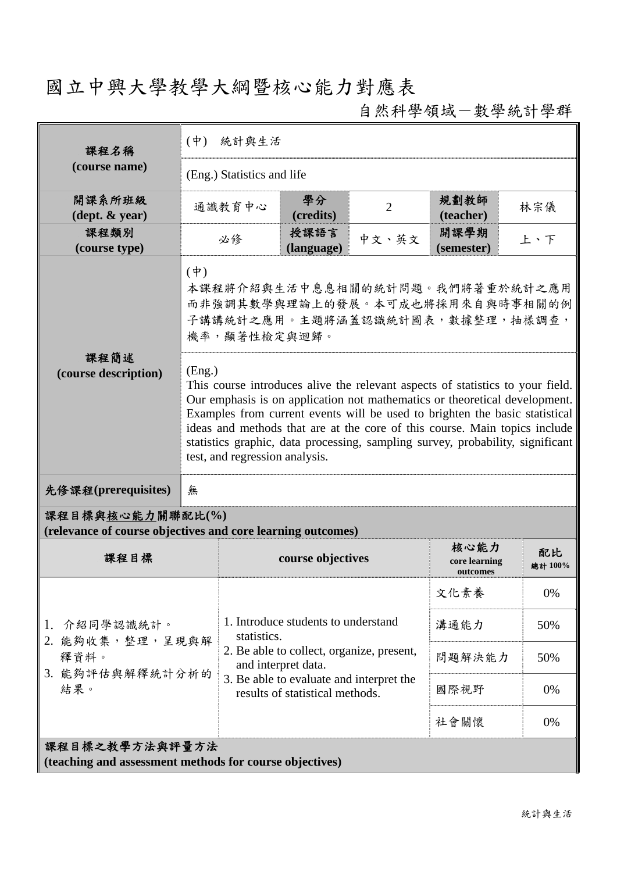## 國立中興大學教學大綱暨核心能力對應表

自然科學領域-數學統計學群

| 課程名稱                                                                            | $(\phi)$<br>統計與生活                                                                                                                                                                                                                                                                                                                                                                                                                                       |             |                                                                             |                |                                   |               |  |
|---------------------------------------------------------------------------------|---------------------------------------------------------------------------------------------------------------------------------------------------------------------------------------------------------------------------------------------------------------------------------------------------------------------------------------------------------------------------------------------------------------------------------------------------------|-------------|-----------------------------------------------------------------------------|----------------|-----------------------------------|---------------|--|
| (course name)                                                                   | (Eng.) Statistics and life                                                                                                                                                                                                                                                                                                                                                                                                                              |             |                                                                             |                |                                   |               |  |
| 開課系所班級<br>$(\text{dept.} \& \text{ year})$                                      |                                                                                                                                                                                                                                                                                                                                                                                                                                                         | 通識教育中心      | 學分<br>(credits)                                                             | $\overline{2}$ | 規劃教師<br>(teacher)                 | 林宗儀           |  |
| 課程類別<br>(course type)                                                           |                                                                                                                                                                                                                                                                                                                                                                                                                                                         | 必修          | 授課語言<br>(language)                                                          | 中文、英文          | 開課學期<br>(semester)                | 上、下           |  |
| 課程簡述                                                                            | $(\phi)$<br>本課程將介紹與生活中息息相關的統計問題。我們將著重於統計之應用<br>而非強調其數學與理論上的發展。本可成也將採用來自與時事相關的例<br>子講講統計之應用。主題將涵蓋認識統計圖表,數據整理,抽樣調查,<br>機率,顯著性檢定與迴歸。                                                                                                                                                                                                                                                                                                                       |             |                                                                             |                |                                   |               |  |
| (course description)                                                            | (Eng.)<br>This course introduces alive the relevant aspects of statistics to your field.<br>Our emphasis is on application not mathematics or theoretical development.<br>Examples from current events will be used to brighten the basic statistical<br>ideas and methods that are at the core of this course. Main topics include<br>statistics graphic, data processing, sampling survey, probability, significant<br>test, and regression analysis. |             |                                                                             |                |                                   |               |  |
| 先修課程(prerequisites)                                                             | 無                                                                                                                                                                                                                                                                                                                                                                                                                                                       |             |                                                                             |                |                                   |               |  |
| 課程目標與核心能力關聯配比(%)<br>(relevance of course objectives and core learning outcomes) |                                                                                                                                                                                                                                                                                                                                                                                                                                                         |             |                                                                             |                |                                   |               |  |
| 課程目標                                                                            |                                                                                                                                                                                                                                                                                                                                                                                                                                                         |             | course objectives                                                           |                | 核心能力<br>core learning<br>outcomes | 配比<br>總計 100% |  |
|                                                                                 |                                                                                                                                                                                                                                                                                                                                                                                                                                                         |             | 1. Introduce students to understand                                         |                | 文化素養                              | 0%            |  |
| 1. 介紹同學認識統計。<br>2. 能夠收集,整理,呈現與解                                                 |                                                                                                                                                                                                                                                                                                                                                                                                                                                         | statistics. |                                                                             |                | 溝通能力                              | 50%           |  |
| 釋資料。                                                                            |                                                                                                                                                                                                                                                                                                                                                                                                                                                         |             | 2. Be able to collect, organize, present,<br>and interpret data.            |                | 問題解決能力                            | 50%           |  |
| 3. 能夠評估與解釋統計分析的<br>結果。                                                          |                                                                                                                                                                                                                                                                                                                                                                                                                                                         |             | 3. Be able to evaluate and interpret the<br>results of statistical methods. |                | 國際視野                              | 0%            |  |
|                                                                                 |                                                                                                                                                                                                                                                                                                                                                                                                                                                         |             |                                                                             |                | 社會關懷                              | 0%            |  |
| 課程目標之教學方法與評量方法<br>(teaching and assessment methods for course objectives)       |                                                                                                                                                                                                                                                                                                                                                                                                                                                         |             |                                                                             |                |                                   |               |  |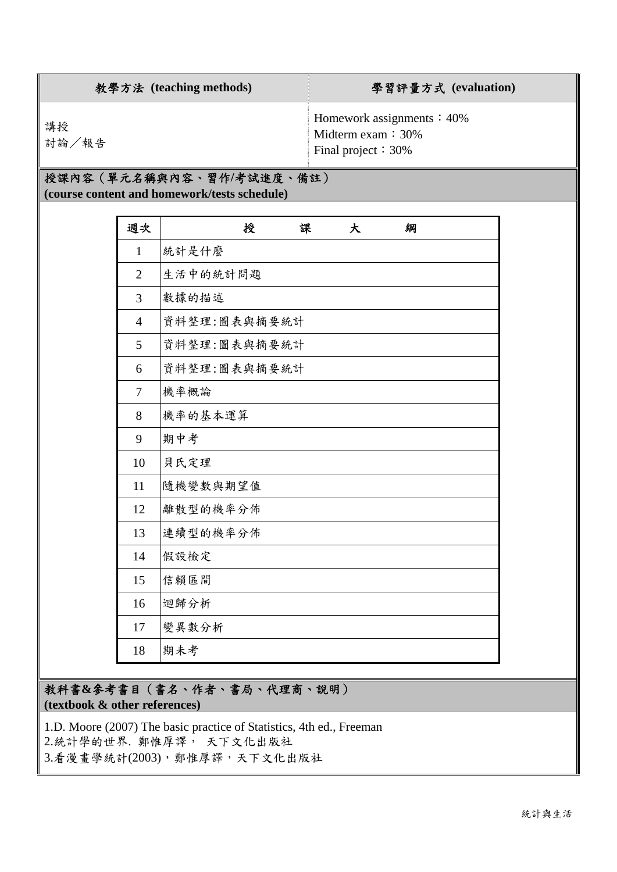| 教學方法 (teaching methods) | 學習評量方式 (evaluation)                                                                  |
|-------------------------|--------------------------------------------------------------------------------------|
| 講授<br>討論/報告             | Homework assignments $\div$ 40%<br>Midterm exam $\div$ 30%<br>Final project $: 30\%$ |

## 授課內容(單元名稱與內容、習作**/**考試進度、備註) **(course content and homework/tests schedule)**

| 週次             | 授<br>課<br>綱<br>大 |
|----------------|------------------|
| $\mathbf{1}$   | 統計是什麼            |
| $\overline{2}$ | 生活中的統計問題         |
| 3              | 數據的描述            |
| $\overline{4}$ | 資料整理:圖表與摘要統計     |
| 5              | 資料整理:圖表與摘要統計     |
| 6              | 資料整理:圖表與摘要統計     |
| 7              | 機率概論             |
| 8              | 機率的基本運算          |
| 9              | 期中考              |
| 10             | 貝氏定理             |
| 11             | 隨機變數與期望值         |
| 12             | 離散型的機率分佈         |
| 13             | 連續型的機率分佈         |
| 14             | 假設檢定             |
| 15             | 信賴區間             |
| 16             | 迴歸分析             |
| 17             | 變異數分析            |
| 18             | 期未考              |

教科書**&**參考書目(書名、作者、書局、代理商、說明) **(textbook & other references)**

1.D. Moore (2007) The basic practice of Statistics, 4th ed., Freeman 2.統計學的世界. 鄭惟厚譯, 天下文化出版社 3.看漫書學統計(2003),鄭惟厚譯,天下文化出版社